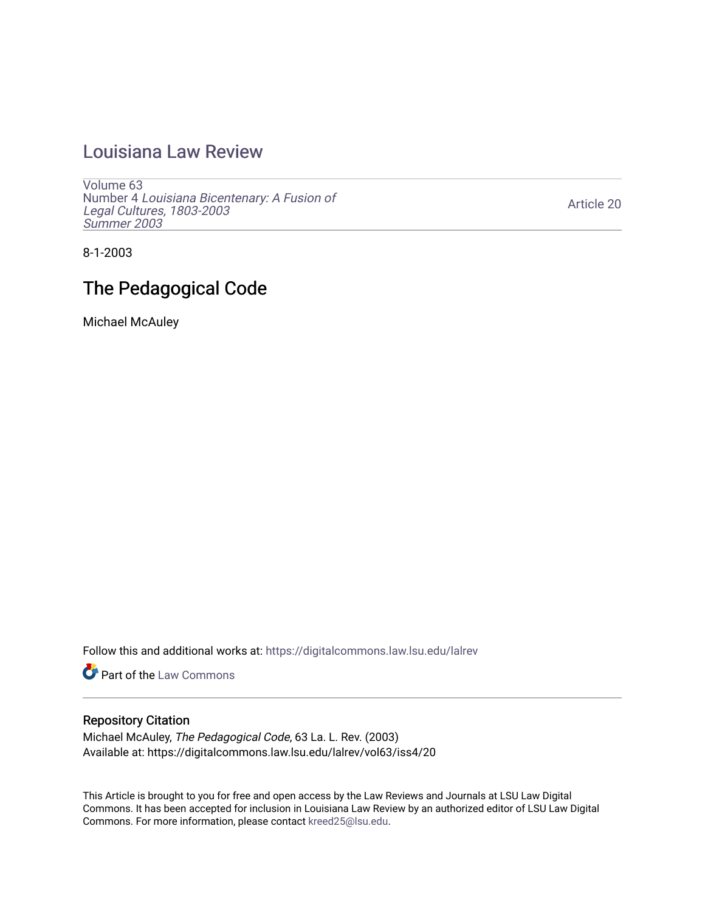# [Louisiana Law Review](https://digitalcommons.law.lsu.edu/lalrev)

[Volume 63](https://digitalcommons.law.lsu.edu/lalrev/vol63) Number 4 [Louisiana Bicentenary: A Fusion of](https://digitalcommons.law.lsu.edu/lalrev/vol63/iss4) [Legal Cultures, 1803-2003](https://digitalcommons.law.lsu.edu/lalrev/vol63/iss4) [Summer 2003](https://digitalcommons.law.lsu.edu/lalrev/vol63/iss4) 

[Article 20](https://digitalcommons.law.lsu.edu/lalrev/vol63/iss4/20) 

8-1-2003

# The Pedagogical Code

Michael McAuley

Follow this and additional works at: [https://digitalcommons.law.lsu.edu/lalrev](https://digitalcommons.law.lsu.edu/lalrev?utm_source=digitalcommons.law.lsu.edu%2Flalrev%2Fvol63%2Fiss4%2F20&utm_medium=PDF&utm_campaign=PDFCoverPages)

Part of the [Law Commons](https://network.bepress.com/hgg/discipline/578?utm_source=digitalcommons.law.lsu.edu%2Flalrev%2Fvol63%2Fiss4%2F20&utm_medium=PDF&utm_campaign=PDFCoverPages)

## Repository Citation

Michael McAuley, The Pedagogical Code, 63 La. L. Rev. (2003) Available at: https://digitalcommons.law.lsu.edu/lalrev/vol63/iss4/20

This Article is brought to you for free and open access by the Law Reviews and Journals at LSU Law Digital Commons. It has been accepted for inclusion in Louisiana Law Review by an authorized editor of LSU Law Digital Commons. For more information, please contact [kreed25@lsu.edu](mailto:kreed25@lsu.edu).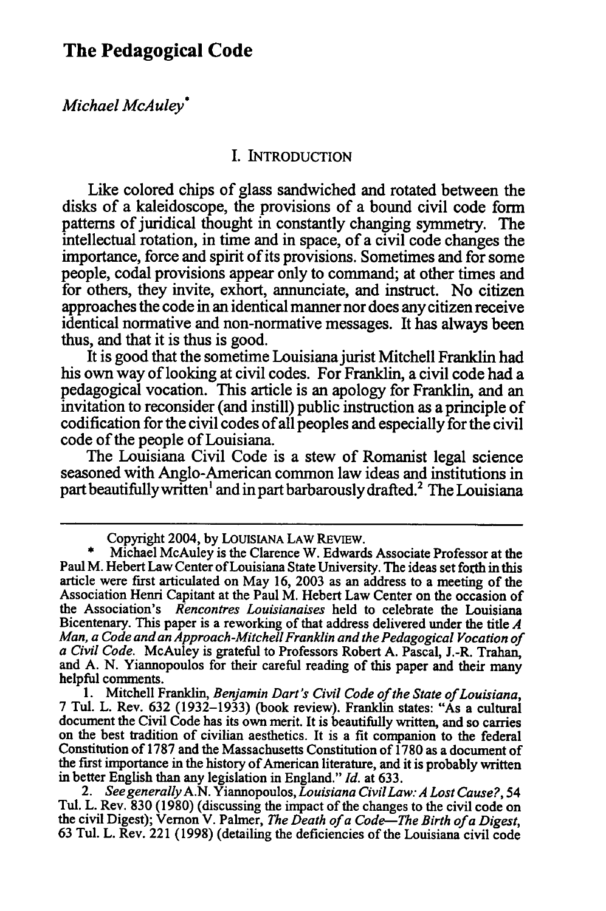# **The Pedagogical Code**

### *MichaelMcAuley"*

### I. INTRODUCTION

Like colored chips of glass sandwiched and rotated between the disks of a kaleidoscope, the provisions of a bound civil code form patterns of juridical thought in constantly changing symmetry. The intellectual rotation, in time and in space, of a civil code changes the importance, force and spirit of its provisions. Sometimes and for some people, codal provisions appear only to command; at other times and for others, they invite, exhort, annunciate, and instruct. No citizen approaches the code in an identical manner nor does any citizen receive identical normative and non-normative messages. It has always been thus, and that it is thus is good.

It is good that the sometime Louisiana jurist Mitchell Franklin had his own way of looking at civil codes. For Franklin, a civil code had a pedagogical vocation. This article is an apology for Franklin, and an invitation to reconsider (and instill) public instruction as a principle of codification for the civil codes ofall peoples and especially for the civil code of the people of Louisiana.

The Louisiana Civil Code is a stew of Romanist legal science seasoned with Anglo-American common law ideas and institutions in part beautifully written<sup>1</sup> and in part barbarously drafted.<sup>2</sup> The Louisiana

1. Mitchell Franklin, *Benjamin Dart's Civil Code of the State of Louisiana*, 7 Tul. L. Rev. **632 (1932-1933)** (book review). Franklin states: "As a cultural document the Civil Code has its own merit. It is beautifully written, and so carries on the best tradition of civilian aesthetics. It is a fit companion to the federal Constitution of **1787** and the Massachusetts Constitution of **1780** as a document of the first importance in the history of American literature, and it is probably written in better English than any legislation in England." *Id.* at **633.** 

*2. Seegenerally*A.N. Yiannopoulos, *LouisianaCivilLaw:A Lost Cause?,54*  Tul. L. Rev. **830 (1980)** (discussing the impact ofthe changes to the civil code on the civil Digest); Vernon V. Palmer, *The Death of a Code—The Birth of a Digest*, **63** Tul. L. Rev. 221 **(1998)** (detailing the deficiencies of the Louisiana civil code

Copyright 2004, by LOuIsiANA LAW REVIEW.

Michael McAuley is the Clarence W. Edwards Associate Professor at the Paul M. Hebert Law Center of Louisiana State University. The ideas set forth in this article were first articulated on May 16, 2003 as an address to a meeting of the Association Henri Capitant at the Paul M. Hebert Law Center on the occasion of the Association's *Rencontres Louisianaises* held to celebrate the Louisiana Bicentenary. This paper is a reworking of that address delivered under the title A *Man, a Code andan Approach-MitchellFranklinand*the*PedagogicalVocationof a Civil Code.* McAuley is grateful to Professors Robert A. Pascal, J.-R. Trahan, and A. N. Yiannopoulos for their careful reading of this paper and their many helpful comments.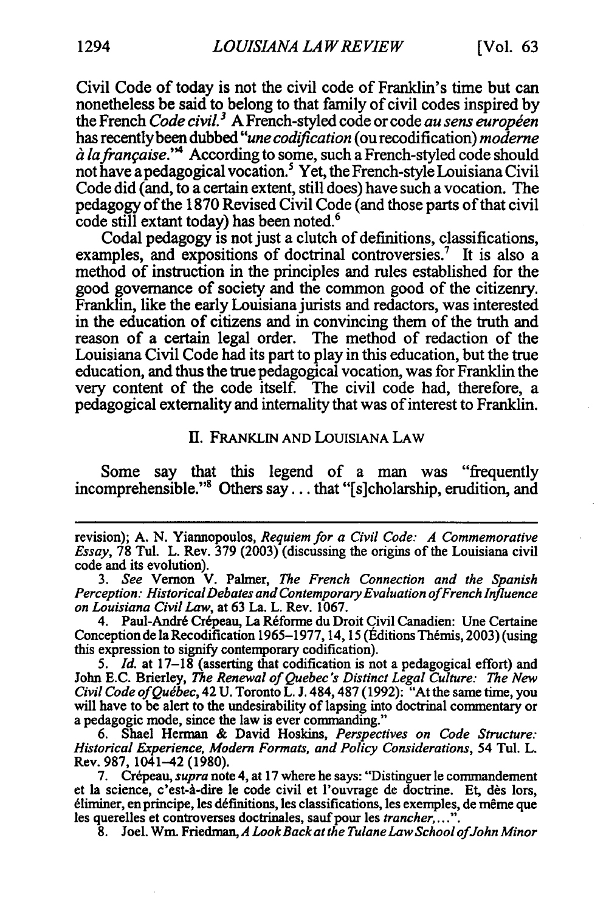Civil Code of today is not the civil code of Franklin's time but can nonetheless be said to belong to that family of civil codes inspired by the French *Codecivil 3* A French-styled code or code *ausens europ'en*  has recentlybeen dubbed *"unecodification*(ou recodification) *moderne ei lafrangaise."* According to some, such a French-styled code should not have apedagogical vocation.5 Yet, the French-style Louisiana Civil Code did (and, to a certain extent, still does) have such a vocation. The pedagogy ofthe 1870 Revised Civil Code (and those parts of that civil code still extant today) has been noted.<sup>6</sup>

Codal pedagogy is not just a clutch of definitions, classifications, examples, and expositions of doctrinal controversies.<sup>7</sup> It is also a method of instruction in the principles and rules established for the good governance of society and the common good of the citizenry. Franklin, like the early Louisiana jurists and redactors, was interested in the education of citizens and in convincing them of the truth and reason of a certain legal order. The method of redaction of the Louisiana Civil Code had its part to play in this education, but the true education, and thus the true pedagogical vocation, was for Franklin the very content of the code itself. The civil code had, therefore, a pedagogical externality and internality that was ofinterest to Franklin.

#### II. FRANKLIN **AND** LOUISIANA LAW

Some say that this legend of a man was "frequently incomprehensible."<sup>8</sup> Others say . . . that "[s]cholarship, erudition, and

**8.** Joel. Win. Friedman, *A Look Back atthe TulaneLaw SchoolofJohnMinor* 

revision); A. N. Yiannopoulos, *Requiem for a Civil Code: A Commemorative Essay,* 78 Tul. L. Rev. 379 (2003) (discussing the origins of the Louisiana civil code and its evolution).

*<sup>3.</sup> See* Vernon V. Palmer, *The French Connection and the Spanish*  Perception: Historical Debates and Contemporary Evaluation of French Influence *on LouisianaCivil Law,* at **63** La. L. Rev. **1067.** 

<sup>4.</sup> Paul-André Crépeau, La Réforme du Droit Civil Canadien: Une Certaine Conception de la Recodification 1965-1977, 14, 15 (Éditions Thémis, 2003) (using this expression to signify contemporary codification).

*<sup>5.</sup> Id.* at **17-18** (asserting that codification is not a pedagogical effort) and John E.C. Brierley, *The Renewal of Quebec's Distinct Legal Culture: The New Civil CodeofQuebec,* 42 **U.** Toronto L. **J.** 484,487 **(1992):** "At the same time, you will have to be alert to the undesirability of lapsing into doctrinal commentary or a pedagogic mode, since the law is ever commanding."

**<sup>6.</sup>** Shael Herman **&** David Hoskins, *Perspectives on Code Structure: HistoricalExperience, Modern Formats,andPolicy Considerations,*54 Tul. L. Rev. **987,** 1041-42 **(1980).** 

**<sup>7.</sup>** Crépeau, *supra* note 4, at 17 where he says: "Distinguer le commandement et la science, c'est-à-dire le code civil et l'ouvrage de doctrine. Et, dès lors, 6liminer, en principe, les d6finitions, **les** classifications, les exernples, de m~me que les querelles et controverses doctrinales, sauf pour **les** *trancher,...".*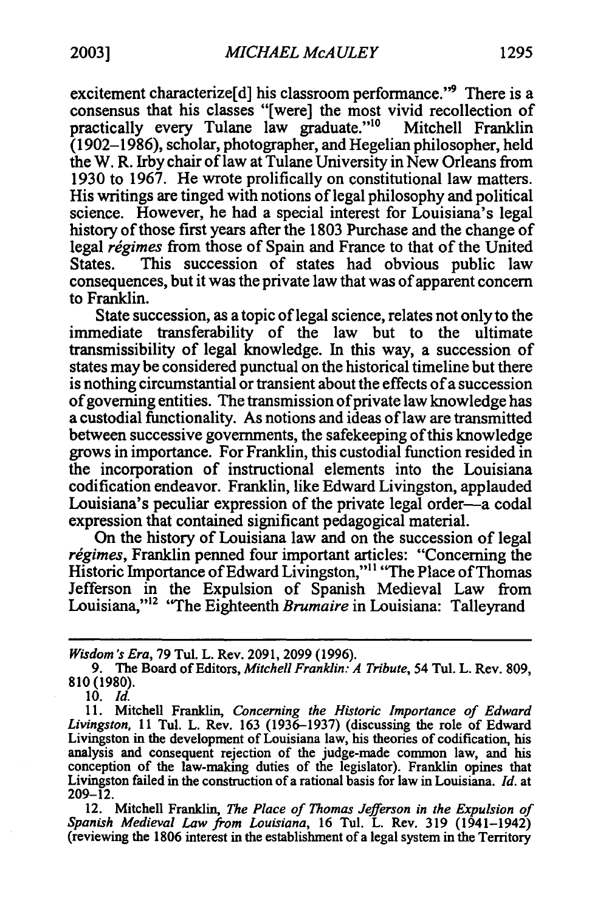excitement characterize<sup>[d]</sup> his classroom performance."<sup>9</sup> There is a consensus that his classes "[were] the most vivid recollection of practically every Tulane law graduate."<sup>10</sup> Mitchell Franklin practically every Tulane law graduate."<sup>10</sup> (1902-1986), scholar, photographer, and Hegelian philosopher, held the W. R. Irby chair of law at Tulane University in New Orleans from 1930 to 1967. He wrote prolifically on constitutional law matters. His writings are tinged with notions of legal philosophy and political science. However, he had a special interest for Louisiana's legal history of those first years after the 1803 Purchase and the change of legal *régimes* from those of Spain and France to that of the United States. This succession of states had obvious public law consequences, but it was the private law that was of apparent concern to Franklin.

State succession, as a topic of legal science, relates not only to the immediate transferability of the law but to the ultimate transmissibility of legal knowledge. In this way, a succession of states may be considered punctual on the historical timeline but there is nothing circumstantial or transient about the effects of a succession ofgoverning entities. The transmission ofprivate law knowledge has a custodial functionality. As notions and ideas of law are transmitted between successive governments, the safekeeping of this knowledge grows in importance. For Franklin, this custodial function resided in the incorporation of instructional elements into the Louisiana codification endeavor. Franklin, like Edward Livingston, applauded Louisiana's peculiar expression of the private legal order—a codal expression that contained significant pedagogical material.

On the history of Louisiana law and on the succession of legal régimes, Franklin penned four important articles: "Concerning the Historic Importance of Edward Livingston,"<sup>11</sup> "The Place of Thomas Jefferson in the Expulsion of Spanish Medieval Law from 'Louisiana,"<sup>12</sup> "The Eighteenth *Brumaire* in Louisiana: Talleyrand

*Wisdom's Era,*79 Tul. L. Rev. 2091, 2099 (1996).

10. *Id.* 

12. Mitchell Franklin, *The Place of Thomas Jefferson in the Expulsion of Spanish Medieval Law from Louisiana,* 16 Tul. L. Rev. 319 (1941-1942) (reviewing the 1806 interest in the establishment of a legal system in the Territory

<sup>9.</sup> The Board of Editors, *Mitchell Frandin:A Tribute,* 54 Tul. L. Rev. 809, **810 (1980).** 

<sup>11.</sup> Mitchell Franklin, *Concerning the Historic Importance of Edward Livingston,* 11 Tul. L. Rev. 163 (1936-1937) (discussing the role of Edward Livingston in the development of Louisiana law, his theories of codification, his analysis and consequent rejection of the judge-made common law, and his conception of the law-making duties of the legislator). Franklin opines that Livingston failed in the construction of a rational basis for law in Louisiana. *Id.* at  $209 - 12.$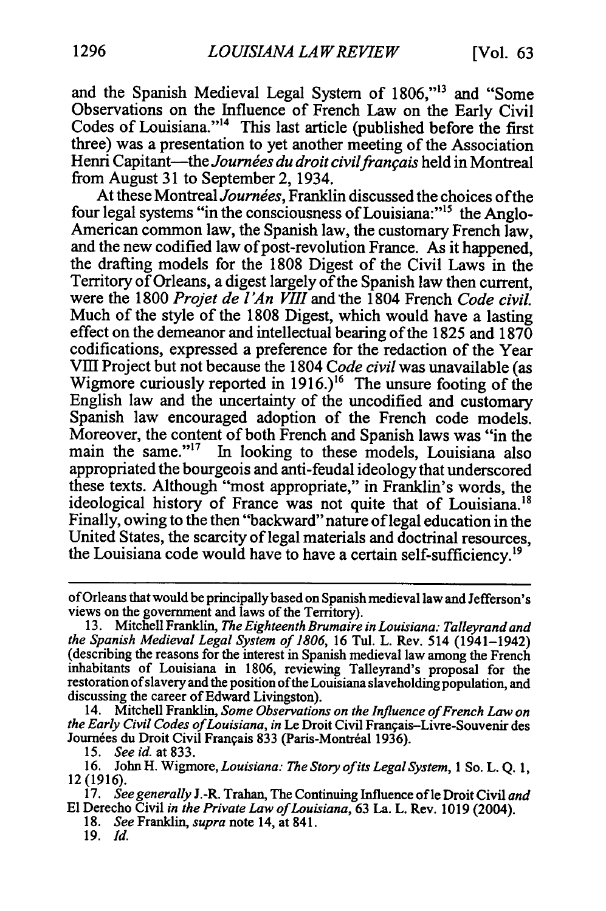and the Spanish Medieval Legal System of 1806,"<sup>13</sup> and "Some Observations on the Influence of French Law on the Early Civil Codes of Louisiana."<sup>14</sup> This last article (published before the first three) was a presentation to yet another meeting of the Association Henri Capitant—the *Journées du droit civil français* held in Montreal from August 31 to September 2, 1934.

At these Montreal *Journées*, Franklin discussed the choices of the four legal systems "in the consciousness of Louisiana:"<sup>15</sup> the Anglo-American common law, the Spanish law, the customary French law, and the new codified law of post-revolution France. As it happened, the drafting models for the 1808 Digest of the Civil Laws in the Territory of Orleans, a digest largely of the Spanish law then current, were the 1800 *Projet de l'An VIII* and the 1804 French *Code civil*. Much of the style of the 1808 Digest, which would have a lasting effect on the demeanor and intellectual bearing of the 1825 and 1870 codifications, expressed a preference for the redaction of the Year VIII Project but not because the 1804 *Code civil* was unavailable (as Wigmore curiously reported in 1916.)<sup>16</sup> The unsure footing of the English law and the uncertainty of the uncodified and customary Spanish law encouraged adoption of the French code models. Moreover, the content of both French and Spanish laws was "in the main the same."<sup>17</sup> In looking to these models, Louisiana also appropriated the bourgeois and anti-feudal ideology that underscored these texts. Although "most appropriate," in Franklin's words, the ideological history of France was not quite that of Louisiana.<sup>18</sup> Finally, owing to the then "backward" nature of legal education in the United States, the scarcity of legal materials and doctrinal resources, the Louisiana code would have to have a certain self-sufficiency.<sup>19</sup>

19. *Id.* 

ofOrleans that would be principally based on Spanish medieval law and Jefferson's views on the government and laws of the Territory).

<sup>13.</sup> Mitchell Franklin, *The Eighteenth Brumaire in Louisiana: Talleyrand and the Spanish Medieval Legal System of 1806,* 16 Tul. L. Rev. 514 (1941-1942) (describing the reasons for the interest in Spanish medieval law among the French inhabitants of Louisiana in 1806, reviewing Talleyrand's proposal for the restoration ofslavery and the position ofthe Louisiana slaveholding population, and discussing the career of Edward Livingston).<br>14. Mitchell Franklin, *Some Observations on the Influence of French Law on* 

*the Early Civil Codes ofLouisiana,in* Le Droit Civil Frangais-Livre-Souvenir des Journées du Droit Civil Français 833 (Paris-Montréal 1936).

*<sup>15.</sup> Seeid.*at833.

<sup>16.</sup> John H. Wigmore, *Louisiana:The Story ofits LegalSystem,* 1 So. L. Q. 1, 12(1916).

<sup>17.</sup> *See generally*J.-R. Trahan, The Continuing Influence ofle Droit Civil *and*  **El** Derecho Civil *in the PrivateLaw ofLouisiana,*63 La. L. Rev. 1019 (2004).

<sup>18.</sup> *See Franklin, supra note* 14, at 841.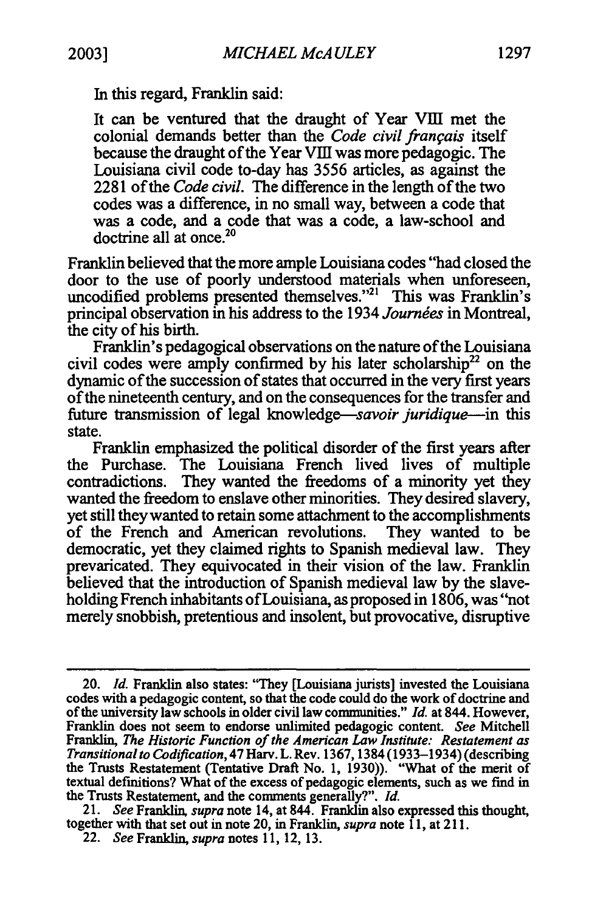In this regard, Franklin said:

It can be ventured that the draught of Year VIII met the colonial demands better than the *Code civil frangais* itself because the draught of the Year VILI was more pedagogic. The Louisiana civil code to-day has 3556 articles, as against the 2281 of the *Code civil.* The difference in the length of the two codes was a difference, in no small way, between a code that was a code, and a code that was a code, a law-school and doctrine all at once.<sup>20</sup>

Franklin believed that the more ample Louisiana codes "had closed the door to the use of poorly understood materials when unforeseen, uncodified problems presented themselves."<sup>21</sup> This was Franklin's principal observation in his address to the 1934 *Journées* in Montreal, the city of his birth.

Franklin's pedagogical observations on the nature ofthe Louisiana civil codes were amply confirmed by his later scholarship<sup>22</sup> on the dynamic of the succession of states that occurred in the very first years ofthe nineteenth century, and on the consequences for the transfer and future transmission of legal knowledge-savoir *juridique-in*this state.

Franklin emphasized the political disorder of the first years after the Purchase. The Louisiana French lived lives of multiple contradictions. They wanted the freedoms of a minority yet they wanted the freedom to enslave other minorities. They desired slavery, yet still they wanted to retain some attachment to the accomplishments of the French and American revolutions. They wanted to be democratic, yet they claimed rights to Spanish medieval law. They prevaricated. They equivocated in their vision of the law. Franklin believed that the introduction of Spanish medieval law **by** the slaveholding French inhabitants ofLouisiana, as proposed in **1806,** was "not merely snobbish, pretentious and insolent, but provocative, disruptive

<sup>20.</sup> *Id.* Franklin also states: "They [Louisiana jurists] invested the Louisiana codes with a pedagogic content, so that the code could do the work of doctrine and of the university law schools in older civil law communities." *Id.* at 844. However, Franklin does not seem to endorse unlimited pedagogic content. *See* Mitchell Franklin, *The Historic Function of the American Law Institute: Restatement as Transitionalto*Codification, 47 Harv. L. Rev. **1367, 1384** (1933-1934) (describing the Trusts Restatement (Tentative Draft No. **1,** 1930)). "What of the merit of textual definitions? What of the excess of pedagogic elements, such as we find in the Trusts Restatement, and the comments generally?". *Id.* 

**<sup>21.</sup>** *See* Franklin, *supra*note 14, at 844. Franklin also expressed this thought, together with that set out in note 20, in Franklin, *supra*note **11,** at **211.** 

<sup>22.</sup> *See Franklin,supranotes***11,** 12, **13.**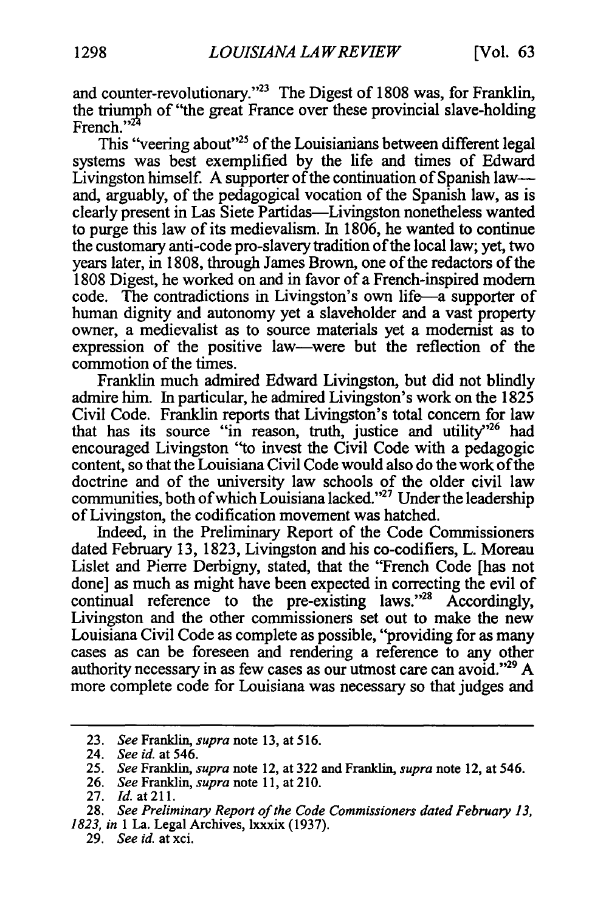and counter-revolutionary."<sup>23</sup> The Digest of 1808 was, for Franklin, the triumph of "the great France over these provincial slave-holding French."<sup>24</sup>

This "veering about"<sup>25</sup> of the Louisianians between different legal systems was best exemplified by the life and times of Edward Livingston himself. A supporter of the continuation of Spanish law--and, arguably, of the pedagogical vocation of the Spanish law, as is clearly present in Las Siete Partidas-Livingston nonetheless wanted to purge this law of its medievalism. In 1806, he wanted to continue the customary anti-code pro-slavery tradition of the local law; yet, two years later, in 1808, through James Brown, one of the redactors of the 1808 Digest, he worked on and in favor of a French-inspired modem code. The contradictions in Livingston's own life-a supporter of human dignity and autonomy yet a slaveholder and a vast property owner, a medievalist as to source materials yet a modernist as to expression of the positive law-were but the reflection of the commotion of the times.

Franklin much admired Edward Livingston, but did not blindly admire him. In particular, he admired Livingston's work on the 1825 Civil Code. Franklin reports that Livingston's total concern for law that has its source "in reason, truth, justice and utility"<sup>26</sup> had encouraged Livingston "to invest the Civil Code with a pedagogic content, so that the Louisiana Civil Code would also do the work ofthe doctrine and of the university law schools of the older civil law communities, both of which Louisiana lacked."<sup>27</sup> Under the leadership of Livingston, the codification movement was hatched.

Indeed, in the Preliminary Report of the Code Commissioners dated February 13, 1823, Livingston and his co-codifiers, L. Moreau Lislet and Pierre Derbigny, stated, that the "French Code [has not done] as much as might have been expected in correcting the evil of continual reference to the pre-existing laws." $28$  Accordingly, Livingston and the other commissioners set out to make the new Louisiana Civil Code as complete as possible, "providing for as many cases as can be foreseen and rendering a reference to any other authority necessary in as few cases as our utmost care can avoid."<sup>29</sup> A more complete code for Louisiana was necessary so that judges and

<sup>23.</sup> *See* Franklin, *supra*note 13, at 516.

<sup>24.</sup> *See id.* at 546.

<sup>25.</sup> *See* Franklin, *supra* note 12, at 322 and Franklin, *supra*note 12, at 546.

<sup>26.</sup> *See Franklin, supra note 11, at 210.* 

<sup>27.</sup> *Id.* at211.

<sup>28.</sup> *See Preliminary Report of the Code Commissioners dated February 13, 1823, in* 1 La. Legal Archives, lxxxix (1937).

<sup>29.</sup> *See id.*at xci.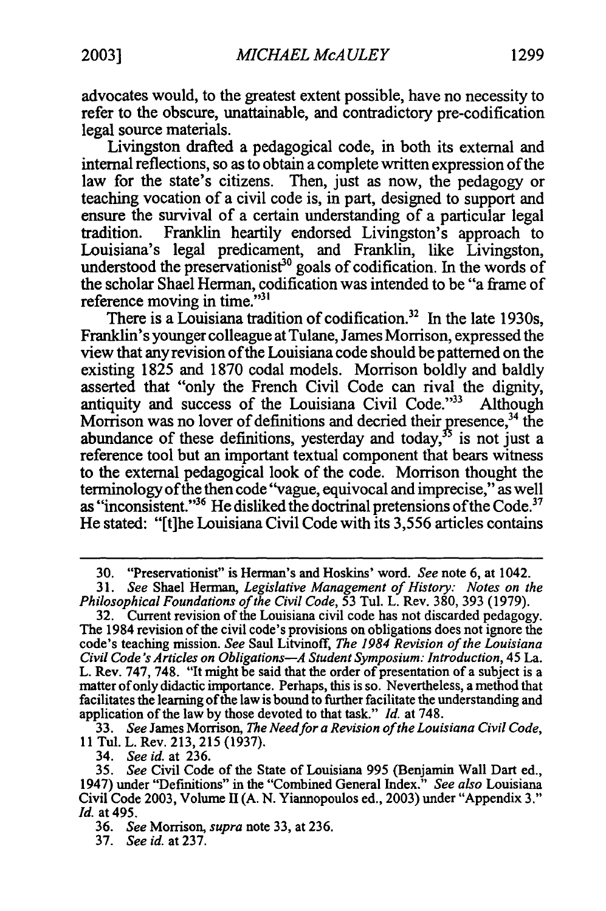advocates would, to the greatest extent possible, have no necessity to refer to the obscure, unattainable, and contradictory pre-codification legal source materials.

Livingston drafted a pedagogical code, in both its external and internal reflections, so as to obtain a complete written expression of the law for the state's citizens. Then, just as now, the pedagogy or teaching vocation of a civil code is, in part, designed to support and ensure the survival of a certain understanding of a particular legal tradition. Franklin heartily endorsed Livingston's approach to Louisiana's legal predicament, and Franklin, like Livingston, understood the preservationist<sup>30</sup> goals of codification. In the words of the scholar Shael Herman, codification was intended to be "a frame of reference moving in time."<sup>31</sup>

There is a Louisiana tradition of codification.<sup>32</sup> In the late 1930s, Franklin's younger colleague at Tulane, James Morrison, expressed the view that any revision ofthe Louisiana code should be patterned on the existing 1825 and 1870 codal models. Morrison boldly and baldly asserted that "only the French Civil Code can rival the dignity, antiquity and success of the Louisiana Civil Code."33 Although Morrison was no lover of definitions and decried their presence,<sup>34</sup> the abundance of these definitions, yesterday and today,  $35$  is not just a reference tool but an important textual component that bears witness to the external pedagogical look of the code. Morrison thought the terminology of the then code "vague, equivocal and imprecise," as well as "inconsistent."<sup>36</sup> He disliked the doctrinal pretensions of the Code.<sup>37</sup> He stated: "[t]he Louisiana Civil Code with its 3,556 articles contains

34. *See id.* at 236.

<sup>30. &</sup>quot;Preservationist" is Herman's and Hoskins' word. See note 6, at 1042.

*<sup>31.</sup> See* Shael Herman, *Legislative Management of History: Notes on the PhilosophicalFoundationsofthe Civil Code,* 53 Tul. L. Rev. 380, 393 (1979).

<sup>32.</sup> Current revision of the Louisiana civil code has not discarded pedagogy. The 1984 revision of the civil code's provisions on obligations does not ignore the code's teaching mission. *See* Saul Litvinoff, *The 1984 Revision of the Louisiana Civil Code'sArticles on Obligations-AStudentSymposium: Introduction,*45 La. L. Rev. 747, 748. "It might be said that the order of presentation of a subject is a matter of only didactic importance. Perhaps, this is so. Nevertheless, a method that facilitates the learning of the law is bound to further facilitate the understanding and application of the law by those devoted to that task." *Id.* at 748.

<sup>33.</sup> *See James Morrison, The Need for a Revision of the Louisiana Civil Code,* 11 Tul. L. Rev. 213, 215 (1937).

<sup>35.</sup> *See* Civil Code of the State of Louisiana 995 (Benjamin Wall Dart ed., 1947) under "Definitions" in the "Combined General Index." *See also* Louisiana Civil Code 2003, Volume II (A. N. Yiannopoulos ed., 2003) under "Appendix 3." *Id.* at 495.

<sup>36.</sup> *See* Morrison, *supra*note 33, at 236.

<sup>37.</sup> *See id.* at 237.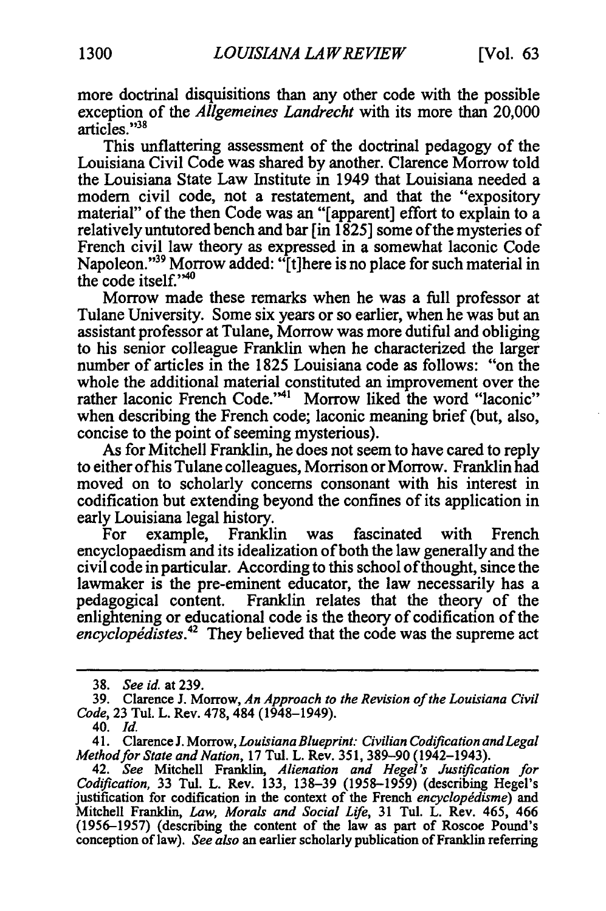more doctrinal disquisitions than any other code with the possible exception of the *Allgemeines Landrecht* with its more than 20,000 articles."<sup>38</sup>

This unflattering assessment of the doctrinal pedagogy of the Louisiana Civil Code was shared **by** another. Clarence Morrow told the Louisiana State Law Institute in 1949 that Louisiana needed a modem civil code, not a restatement, and that the "expository material" of the then Code was an "[apparent] effort to explain to a relatively untutored bench and bar [in 1825] some ofthe mysteries of French civil law theory as expressed in a somewhat laconic Code Napoleon."<sup>39</sup> Morrow added: "[t]here is no place for such material in the code itself."<sup>40</sup>

Morrow made these remarks when he was a full professor at Tulane University. Some six years or so earlier, when he was but an assistant professor at Tulane, Morrow was more dutiful and obliging to his senior colleague Franklin when he characterized the larger number of articles in the 1825 Louisiana code as follows: "on the whole the additional material constituted an improvement over the rather laconic French Code."<sup>41</sup> Morrow liked the word "laconic" when describing the French code; laconic meaning brief (but, also, concise to the point of seeming mysterious).

As for Mitchell Franklin, he does not seem to have cared to reply to either ofhis Tulane colleagues, Morrison or Morrow. Franklin had moved on to scholarly concerns consonant with his interest in codification but extending beyond the confines of its application in early Louisiana legal history.<br>For example. Frankli

example, Franklin was fascinated with French encyclopaedism and its idealization of both the law generally and the civil code in particular. According to this school of thought, since the lawmaker is the pre-eminent educator, the law necessarily has a pedagogical content. Franklin relates that the theory of the enlightening or educational code is the theory of codification of the encyclopédistes.<sup>42</sup> They believed that the code was the supreme act

**<sup>38.</sup>** *See id.*at 239.

**<sup>39.</sup>** Clarence **J.** Morrow, *An Approach to the Revision ofthe Louisiana Civil Code,* 23 Tul. L. Rev. 478, 484 (1948-1949).

<sup>40.</sup> *Id.* 

**<sup>41.</sup>** Clarence **J.**Morrow, *LouisianaBlueprint: CivilianCodificationandLegal Method for State and Nation, 17 Tul. L. Rev. 351, 389-90 (1942-1943).* 

<sup>42.</sup> *See* Mitchell Franklin, *Alienation and Hegel's Justification for Codification,* 33 Tul. L. Rev. **133,** 138-39 (1958-1959) (describing Hegel's justification for codification in the context of the French *encyclopdisme) and*  Mitchell Franklin, *Law, Morals and Social Life,* **31** Tul. L. Rev. 465, 466 (1956-1957) (describing the content of the law as part of Roscoe Pound's conception of law). *See also* an earlier scholarly publication of Franklin referring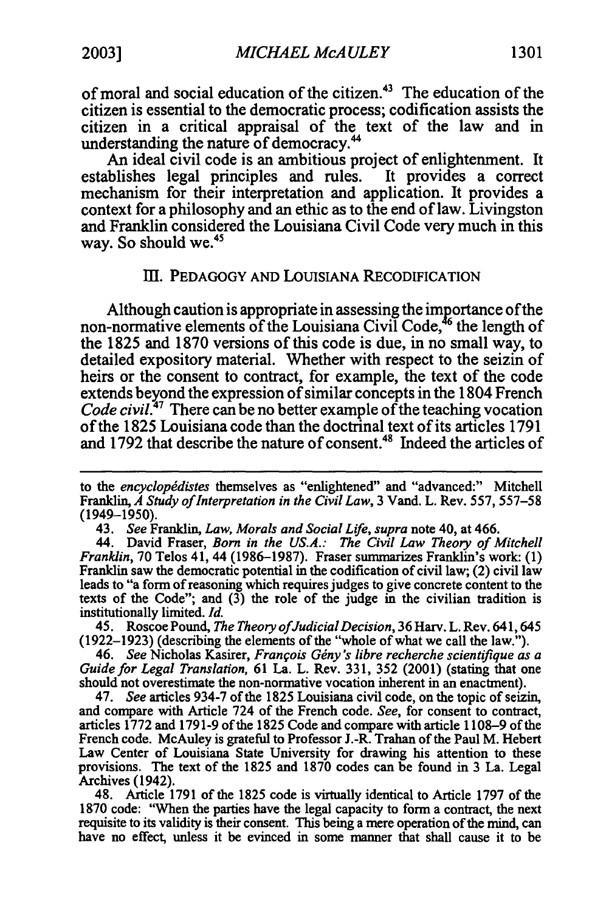of moral and social education of the citizen.<sup>43</sup> The education of the citizen is essential to the democratic process; codification assists the citizen in a critical appraisal of the text of the law and in understanding the nature of democracy.<sup>44</sup>

An ideal civil code is an ambitious project of enlightenment. It establishes legal principles and rules. It provides a correct mechanism for their interpretation and application. It provides a context for a philosophy and an ethic as to the end of law. Livingston and Franklin considered the Louisiana Civil Code very much in this way. So should we.<sup>45</sup>

#### **III.** PEDAGOGY AND LOUISIANA RECODIFICATION

Although caution is appropriate in assessing the importance ofthe non-normative elements of the Louisiana Civil Code,<sup>46</sup> the length of the 1825 and 1870 versions of this code is due, in no small way, to detailed expository material. Whether with respect to the seizin of heirs or the consent to contract, for example, the text of the code extends beyond the expression of similar concepts in the 1804 French *Code civil.*<sup>47</sup> There can be no better example of the teaching vocation of the 1825 Louisiana code than the doctrinal text of its articles 1791 and 1792 that describe the nature of consent.<sup>48</sup> Indeed the articles of

44. David Fraser, *Born in the US.A.: The Civil Law Theory of Mitchell Franklin,*70 Telos 41, 44 (1986-1987). Fraser summarizes Franklin's work: (1) Franklin saw the democratic potential in the codification of civil law; (2) civil law leads to "a form of reasoning which requires judges to give concrete content to the texts of the Code"; and (3) the role of the judge in the civilian tradition is institutionally limited. *Id.* 

45. Roscoe Pound, *The TheoryofJudicialDecision,*36 Harv. L. Rev. 641,645  $(1922-1923)$  (describing the elements of the "whole of what we call the law.").

46. *See* Nicholas Kasirer, *FrangoisGiny's libre recherche scientifique as a Guide for Legal Translation, 61 La. L. Rev. 331, 352 (2001) (stating that one* should not overestimate the non-normative vocation inherent in an enactment).

47. *See* articles 934-7 of the 1825 Louisiana civil code, on the topic of seizin, and compare with Article 724 of the French code. *See,* for consent to contract, articles 1772 and 1791-9 ofthe 1825 Code and compare with article 1108-9 ofthe French code. McAuley is grateful to Professor J.-R. Trahan of the Paul M. Hebert Law Center of Louisiana State University for drawing his attention to these provisions. The text of the 1825 and 1870 codes can be found in 3 La. Legal Archives (1942).

48. Article 1791 of the 1825 code is virtually identical to Article 1797 of the 1870 code: "When the parties have the legal capacity to form a contract, the next requisite to its validity is their consent. This being a mere operation of the mind, can have no effect, unless it be evinced in some manner that shall cause it to be

to the *encyclopddistes* themselves as "enlightened" and "advanced:" Mitchell Franklin, *A Study of Interpretation in the Civil Law*, 3 Vand. L. Rev. 557, 557–58 (1949-1950).

<sup>43.</sup> *See Franklin, Law, Morals and Social Life, supra* note 40, at 466.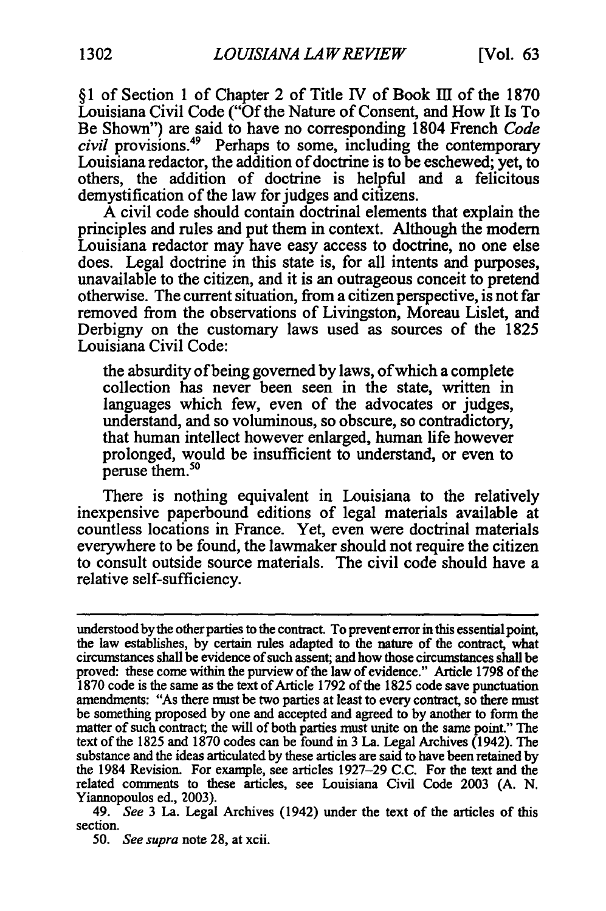§1 of Section 1 of Chapter 2 of Title IV of Book 1II of the 1870 Louisiana Civil Code **("Of**the Nature of Consent, and How It Is To Be Shown") are said to have no corresponding 1804 French *Code civil* [provisions.49](https://provisions.49) Perhaps to some, including the contemporary Louisiana redactor, the addition of doctrine is to be eschewed; yet, to others, the addition of doctrine is helpful and a felicitous demystification of the law for judges and citizens.

**A** civil code should contain doctrinal elements that explain the principles and rules and put them in context. Although the modem Louisiana redactor may have easy access to doctrine, no one else does. Legal doctrine in this state is, for all intents and purposes, unavailable to the citizen, and it is an outrageous conceit to pretend otherwise. The current situation, from a citizen perspective, is not far removed from the observations of Livingston, Moreau Lislet, and Derbigny on the customary laws used as sources of the **1825**  Louisiana Civil Code:

the absurdity ofbeing governed **by** laws, ofwhich a complete collection has never been seen in the state, written in languages which few, even of the advocates or judges, understand, and so voluminous, so obscure, so contradictory, that human intellect however enlarged, human life however prolonged, would be insufficient to understand, or even to peruse them.<sup>50</sup>

There is nothing equivalent in Louisiana to the relatively inexpensive paperbound editions of legal materials available at countless locations in France. Yet, even were doctrinal materials everywhere to be found, the lawmaker should not require the citizen to consult outside source materials. The civil code should have a relative self-sufficiency.

understood by the other parties to the contract. To prevent error in this essential point, the law establishes, **by** certain **rules** adapted to the nature of the contract, what circumstances shall be evidence ofsuch assent; and how those circumstances shall be proved: these come within the purview of the law of evidence." Article 1798 of the 1870 code is the same as the text of Article 1792 of the 1825 code save punctuation amendments: "As there must be two parties at least to every contract, so there must be something proposed by one and accepted and agreed to by another to form the matter of such contract; the will of both parties must unite on the same point." The text of the 1825 and 1870 codes can be found in 3 La. Legal Archives (1942). The substance and the ideas articulated by these articles are said to have been retained by the 1984 Revision. For example, see articles 1927-29 C.C. For the text and the related comments to these articles, see Louisiana Civil Code 2003 **(A.** N. Yiannopoulos ed., 2003).

<sup>49.</sup> *See* 3 La. Legal Archives (1942) under the text of the articles of this section.

*<sup>50.</sup> See supra*note 28, at xcii.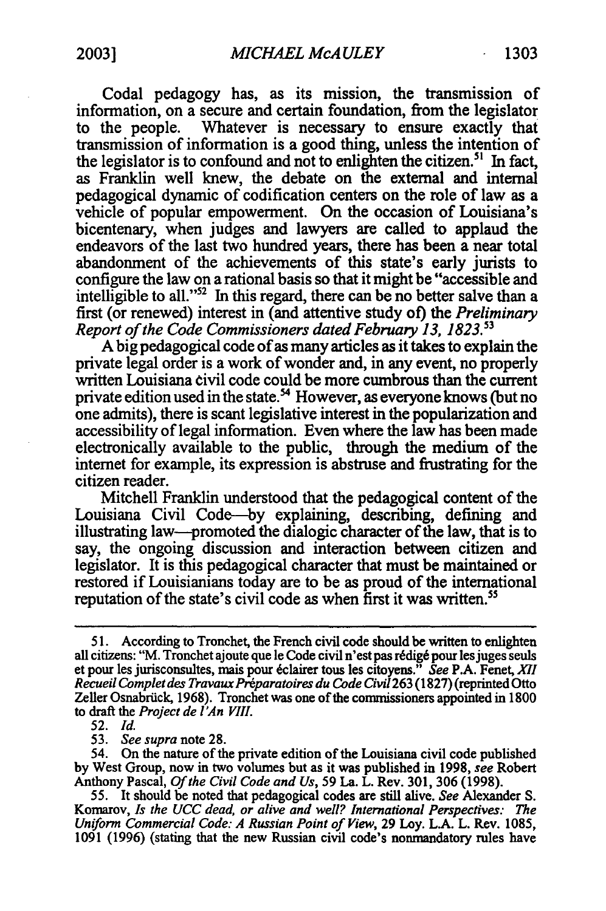Codal pedagogy has, as its mission, the transmission of information, on a secure and certain foundation, from the legislator<br>to the people. Whatever is necessary to ensure exactly that Whatever is necessary to ensure exactly that transmission of information is a good thing, unless the intention of the legislator is to confound and not to enlighten the citizen.<sup>51</sup> In fact, as Franklin well knew, the debate on the external and internal pedagogical dynamic of codification centers on the role of law as a vehicle of popular empowerment. On the occasion of Louisiana's bicentenary, when judges and lawyers are called to applaud the endeavors of the last two hundred years, there has been a near total abandonment of the achievements of this state's early jurists to configure the law on a rational basis so that it might be "accessible and intelligible to all."52 In this regard, there can be no better salve than a first (or renewed) interest in (and attentive study *of)* the *Preliminary Report of the Code Commissioners dated February 13, 1823.*<sup>53</sup>

A big pedagogical code of as many articles as it takes to explain the private legal order is a work of wonder and, in any event, no properly written Louisiana civil code could be more cumbrous than the current private edition used in the state.<sup>54</sup> However, as everyone knows (but no one admits), there is scant legislative interest in the popularization and accessibility of legal information. Even where the law has been made electronically available to the public, through the medium of the intemet for example, its expression is abstruse and frustrating for the citizen reader.

Mitchell Franklin understood that the pedagogical content of the Louisiana Civil Code-by explaining, describing, defining and illustrating law-promoted the dialogic character of the law, that is to say, the ongoing discussion and interaction between citizen and legislator. It is this pedagogical character that must be maintained or restored if Louisianians today are to be as proud of the international reputation of the state's civil code as when first it was written.<sup>55</sup>

52. *Id.* 

*53. See supra*note **28.** 

54. On the nature of the private edition of the Louisiana civil code published by West Group, now in two volumes but as it was published in 1998, *see* Robert Anthony Pascal, *Of the Civil Code andUs,* 59 La. L. Rev. 301, 306 (1998). 55. It should be noted that pedagogical codes are still alive. *See* Alexander S.

<sup>51.</sup> According to Tronchet, the French civil code should be written to enlighten all citizens: "M. Tronchet ajoute que le Code civil n'est pas rédigé pour les juges seuls et pour les jurisconsultes, mais pour 6clairer tous les citoyens." *See* P.A. Fenet, *XI Recueil Complet des Travaux Préparatoires du Code Civil* 263 (1827) (reprinted Otto Zeller Osnabriick, 1968). Tronchet was one of the commissioners appointed in 1800 to draft the *Project de l'An VIII*.

Komarov, *Is the UCC dead, or alive and well? International Perspectives: The* Uniform Commercial Code: A Russian Point of View, 29 Loy. L.A. L. Rev. 1085, 1091 (1996) (stating that the new Russian civil code's nonmandatory rules have